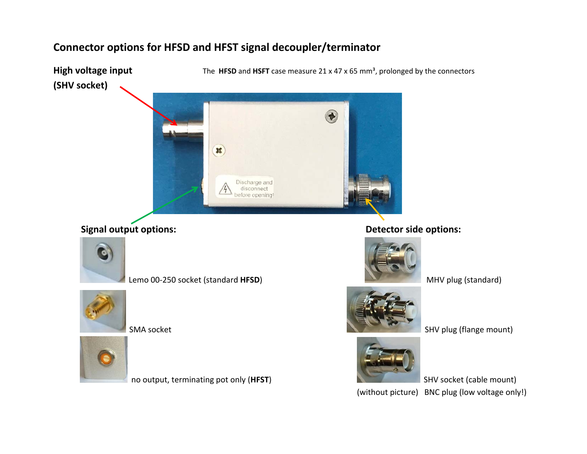## **Connector options for HFSD and HFST signal decoupler/terminator**